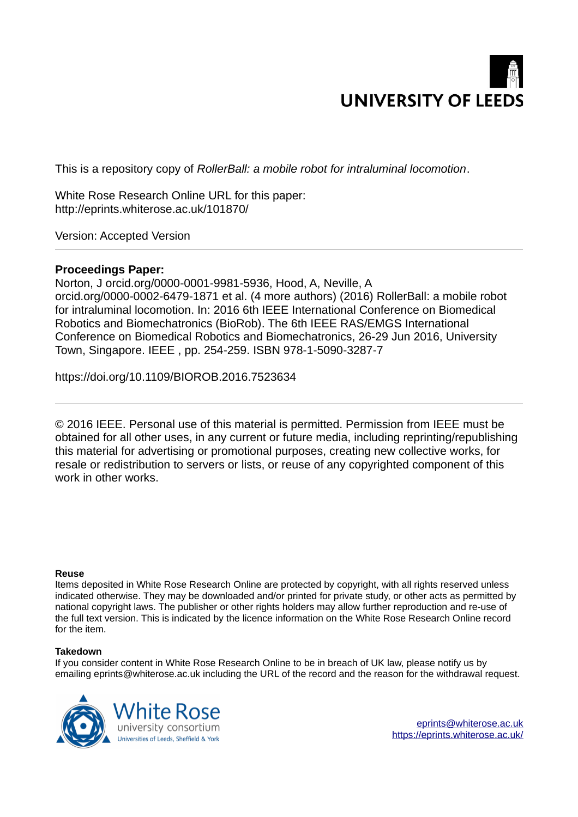

This is a repository copy of *RollerBall: a mobile robot for intraluminal locomotion*.

White Rose Research Online URL for this paper: http://eprints.whiterose.ac.uk/101870/

Version: Accepted Version

# **Proceedings Paper:**

Norton, J orcid.org/0000-0001-9981-5936, Hood, A, Neville, A orcid.org/0000-0002-6479-1871 et al. (4 more authors) (2016) RollerBall: a mobile robot for intraluminal locomotion. In: 2016 6th IEEE International Conference on Biomedical Robotics and Biomechatronics (BioRob). The 6th IEEE RAS/EMGS International Conference on Biomedical Robotics and Biomechatronics, 26-29 Jun 2016, University Town, Singapore. IEEE , pp. 254-259. ISBN 978-1-5090-3287-7

https://doi.org/10.1109/BIOROB.2016.7523634

© 2016 IEEE. Personal use of this material is permitted. Permission from IEEE must be obtained for all other uses, in any current or future media, including reprinting/republishing this material for advertising or promotional purposes, creating new collective works, for resale or redistribution to servers or lists, or reuse of any copyrighted component of this work in other works.

# **Reuse**

Items deposited in White Rose Research Online are protected by copyright, with all rights reserved unless indicated otherwise. They may be downloaded and/or printed for private study, or other acts as permitted by national copyright laws. The publisher or other rights holders may allow further reproduction and re-use of the full text version. This is indicated by the licence information on the White Rose Research Online record for the item.

# **Takedown**

If you consider content in White Rose Research Online to be in breach of UK law, please notify us by emailing eprints@whiterose.ac.uk including the URL of the record and the reason for the withdrawal request.

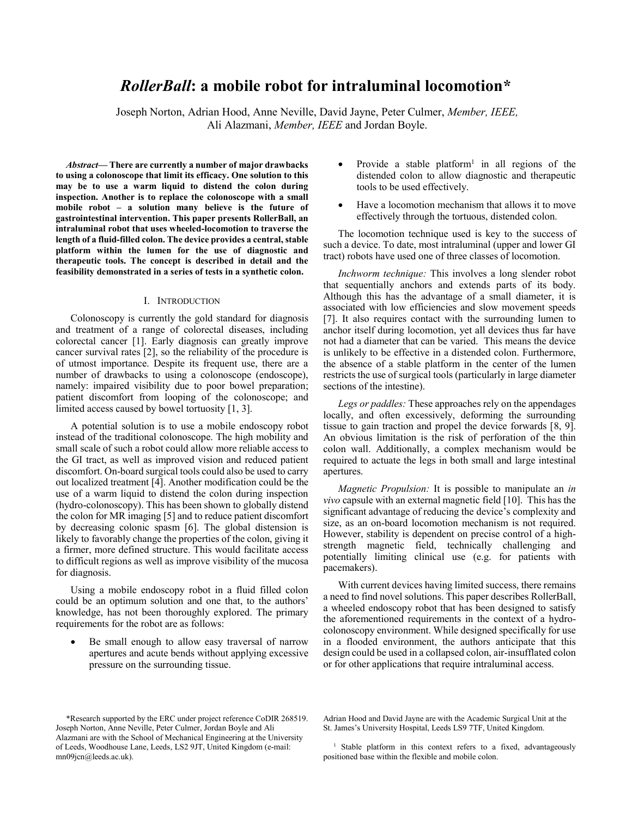# *RollerBall***: a mobile robot for intraluminal locomotion\***

Joseph Norton, Adrian Hood, Anne Neville, David Jayne, Peter Culmer, *Member, IEEE,* Ali Alazmani, *Member, IEEE* and Jordan Boyle.

*Abstract***— There are currently a number of major drawbacks to using a colonoscope that limit its efficacy. One solution to this may be to use a warm liquid to distend the colon during inspection. Another is to replace the colonoscope with a small mobile robot – a solution many believe is the future of gastrointestinal intervention. This paper presents RollerBall, an intraluminal robot that uses wheeled-locomotion to traverse the length of a fluid-filled colon. The device provides a central, stable platform within the lumen for the use of diagnostic and therapeutic tools. The concept is described in detail and the feasibility demonstrated in a series of tests in a synthetic colon.** 

## I. INTRODUCTION

Colonoscopy is currently the gold standard for diagnosis and treatment of a range of colorectal diseases, including colorectal cancer [1]. Early diagnosis can greatly improve cancer survival rates [2], so the reliability of the procedure is of utmost importance. Despite its frequent use, there are a number of drawbacks to using a colonoscope (endoscope), namely: impaired visibility due to poor bowel preparation; patient discomfort from looping of the colonoscope; and limited access caused by bowel tortuosity [1, 3].

A potential solution is to use a mobile endoscopy robot instead of the traditional colonoscope. The high mobility and small scale of such a robot could allow more reliable access to the GI tract, as well as improved vision and reduced patient discomfort. On-board surgical tools could also be used to carry out localized treatment [4]. Another modification could be the use of a warm liquid to distend the colon during inspection (hydro-colonoscopy). This has been shown to globally distend the colon for MR imaging [5] and to reduce patient discomfort by decreasing colonic spasm [6]. The global distension is likely to favorably change the properties of the colon, giving it a firmer, more defined structure. This would facilitate access to difficult regions as well as improve visibility of the mucosa for diagnosis.

Using a mobile endoscopy robot in a fluid filled colon could be an optimum solution and one that, to the authors' knowledge, has not been thoroughly explored. The primary requirements for the robot are as follows:

 Be small enough to allow easy traversal of narrow apertures and acute bends without applying excessive pressure on the surrounding tissue.

- Provide a stable platform<sup>1</sup> in all regions of the distended colon to allow diagnostic and therapeutic tools to be used effectively.
- Have a locomotion mechanism that allows it to move effectively through the tortuous, distended colon.

The locomotion technique used is key to the success of such a device. To date, most intraluminal (upper and lower GI tract) robots have used one of three classes of locomotion.

*Inchworm technique:* This involves a long slender robot that sequentially anchors and extends parts of its body. Although this has the advantage of a small diameter, it is associated with low efficiencies and slow movement speeds [7]. It also requires contact with the surrounding lumen to anchor itself during locomotion, yet all devices thus far have not had a diameter that can be varied. This means the device is unlikely to be effective in a distended colon. Furthermore, the absence of a stable platform in the center of the lumen restricts the use of surgical tools (particularly in large diameter sections of the intestine).

*Legs or paddles:* These approaches rely on the appendages locally, and often excessively, deforming the surrounding tissue to gain traction and propel the device forwards [8, 9]. An obvious limitation is the risk of perforation of the thin colon wall. Additionally, a complex mechanism would be required to actuate the legs in both small and large intestinal apertures.

*Magnetic Propulsion:* It is possible to manipulate an *in vivo* capsule with an external magnetic field [10]. This has the significant advantage of reducing the device's complexity and size, as an on-board locomotion mechanism is not required. However, stability is dependent on precise control of a highstrength magnetic field, technically challenging and potentially limiting clinical use (e.g. for patients with pacemakers).

With current devices having limited success, there remains a need to find novel solutions. This paper describes RollerBall, a wheeled endoscopy robot that has been designed to satisfy the aforementioned requirements in the context of a hydrocolonoscopy environment. While designed specifically for use in a flooded environment, the authors anticipate that this design could be used in a collapsed colon, air-insufflated colon or for other applications that require intraluminal access.

Adrian Hood and David Jayne are with the Academic Surgical Unit at the St. James's University Hospital, Leeds LS9 7TF, United Kingdom.

<sup>\*</sup>Research supported by the ERC under project reference CoDIR 268519. Joseph Norton, Anne Neville, Peter Culmer, Jordan Boyle and Ali Alazmani are with the School of Mechanical Engineering at the University of Leeds, Woodhouse Lane, Leeds, LS2 9JT, United Kingdom (e-mail: mn09jcn@leeds.ac.uk).

<sup>1</sup> Stable platform in this context refers to a fixed, advantageously positioned base within the flexible and mobile colon.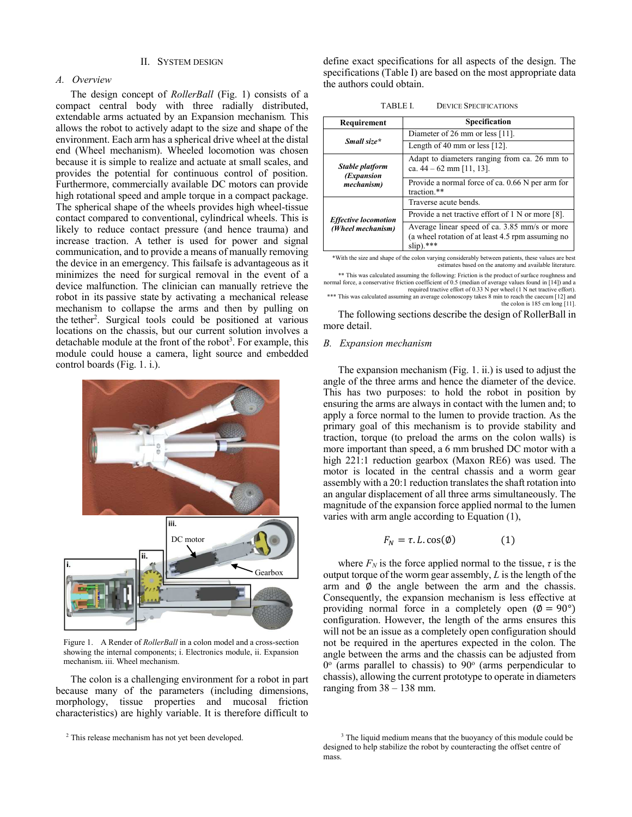## II. SYSTEM DESIGN

## *A. Overview*

The design concept of *RollerBall* (Fig. 1) consists of a compact central body with three radially distributed, extendable arms actuated by an Expansion mechanism*.* This allows the robot to actively adapt to the size and shape of the environment. Each arm has a spherical drive wheel at the distal end (Wheel mechanism). Wheeled locomotion was chosen because it is simple to realize and actuate at small scales, and provides the potential for continuous control of position. Furthermore, commercially available DC motors can provide high rotational speed and ample torque in a compact package. The spherical shape of the wheels provides high wheel-tissue contact compared to conventional, cylindrical wheels. This is likely to reduce contact pressure (and hence trauma) and increase traction. A tether is used for power and signal communication, and to provide a means of manually removing the device in an emergency. This failsafe is advantageous as it minimizes the need for surgical removal in the event of a device malfunction. The clinician can manually retrieve the robot in its passive state by activating a mechanical release mechanism to collapse the arms and then by pulling on the tether<sup>2</sup>. Surgical tools could be positioned at various locations on the chassis, but our current solution involves a detachable module at the front of the robot<sup>3</sup>. For example, this module could house a camera, light source and embedded control boards (Fig. 1. i.).



Figure 1. A Render of *RollerBall* in a colon model and a cross-section showing the internal components; i. Electronics module, ii. Expansion mechanism, iii. Wheel mechanism.

The colon is a challenging environment for a robot in part because many of the parameters (including dimensions, morphology, tissue properties and mucosal friction characteristics) are highly variable. It is therefore difficult to define exact specifications for all aspects of the design. The specifications (Table I) are based on the most appropriate data the authors could obtain.

| TABLE L | <b>DEVICE SPECIFICATIONS</b> |
|---------|------------------------------|
|---------|------------------------------|

| Requirement                                      | Specification                                                                                                     |  |  |  |
|--------------------------------------------------|-------------------------------------------------------------------------------------------------------------------|--|--|--|
| Small size*                                      | Diameter of 26 mm or less [11].                                                                                   |  |  |  |
|                                                  | Length of 40 mm or less $[12]$ .                                                                                  |  |  |  |
| Stable platform<br>(Expansion                    | Adapt to diameters ranging from ca. 26 mm to<br>ca. $44 - 62$ mm [11, 13].                                        |  |  |  |
| mechanism)                                       | Provide a normal force of ca. $0.66$ N per arm for<br>traction.**                                                 |  |  |  |
| <b>Effective locomotion</b><br>(Wheel mechanism) | Traverse acute bends.                                                                                             |  |  |  |
|                                                  | Provide a net tractive effort of $1 \text{ N}$ or more [8].                                                       |  |  |  |
|                                                  | Average linear speed of ca. 3.85 mm/s or more<br>(a wheel rotation of at least 4.5 rpm assuming no<br>$\sin$ .*** |  |  |  |

\*With the size and shape of the colon varying considerably between patients, these values are best estimates based on the anatomy and available literature

\*\* This was calculated assuming the following: Friction is the product of surface roughness and normal force, a conservative friction coefficient of 0.5 (median of average values found in [14]) and a required tractive effort of 0.33 N per wheel (1 N net tractive effort).

\*\*\* This was calculated assuming an average colonoscopy takes 8 min to reach the caecum [12] and the colon is 185 cm long [11].

The following sections describe the design of RollerBall in more detail.

#### *B. Expansion mechanism*

The expansion mechanism (Fig. 1. ii.) is used to adjust the angle of the three arms and hence the diameter of the device. This has two purposes: to hold the robot in position by ensuring the arms are always in contact with the lumen and; to apply a force normal to the lumen to provide traction. As the primary goal of this mechanism is to provide stability and traction, torque (to preload the arms on the colon walls) is more important than speed, a 6 mm brushed DC motor with a high 221:1 reduction gearbox (Maxon RE6) was used. The motor is located in the central chassis and a worm gear assembly with a 20:1 reduction translates the shaft rotation into an angular displacement of all three arms simultaneously. The magnitude of the expansion force applied normal to the lumen varies with arm angle according to Equation (1),

$$
F_N = \tau. L \cos(\emptyset) \tag{1}
$$

where  $F_N$  is the force applied normal to the tissue,  $\tau$  is the output torque of the worm gear assembly, *L* is the length of the arm and  $\phi$  the angle between the arm and the chassis. Consequently, the expansion mechanism is less effective at providing normal force in a completely open ( $\phi = 90^{\circ}$ ) configuration. However, the length of the arms ensures this will not be an issue as a completely open configuration should not be required in the apertures expected in the colon. The angle between the arms and the chassis can be adjusted from  $0^{\circ}$  (arms parallel to chassis) to  $90^{\circ}$  (arms perpendicular to chassis), allowing the current prototype to operate in diameters ranging from  $38 - 138$  mm.

<sup>&</sup>lt;sup>2</sup> This release mechanism has not yet been developed.

<sup>&</sup>lt;sup>3</sup> The liquid medium means that the buoyancy of this module could be designed to help stabilize the robot by counteracting the offset centre of mass.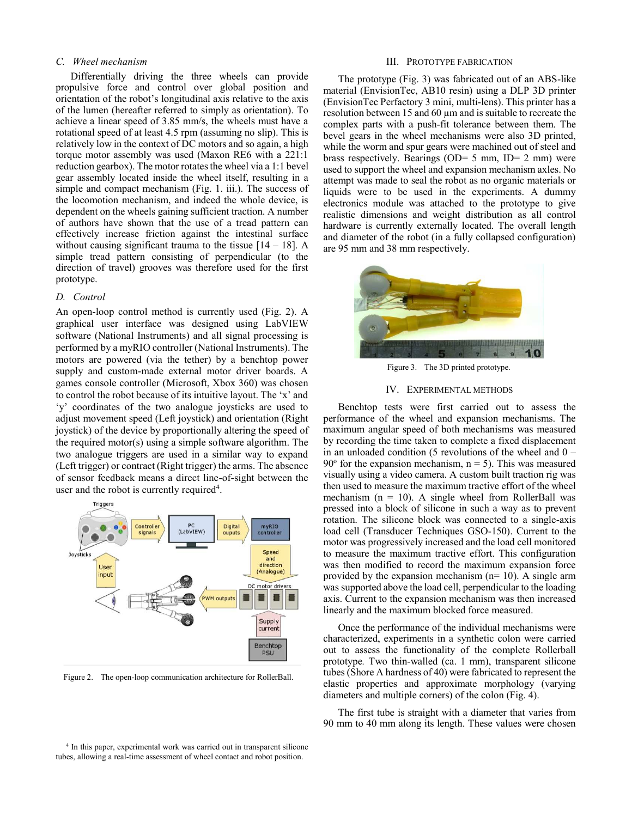## *C. Wheel mechanism*

Differentially driving the three wheels can provide propulsive force and control over global position and orientation of the robot's longitudinal axis relative to the axis of the lumen (hereafter referred to simply as orientation). To achieve a linear speed of 3.85 mm/s, the wheels must have a rotational speed of at least 4.5 rpm (assuming no slip). This is relatively low in the context of DC motors and so again, a high torque motor assembly was used (Maxon RE6 with a 221:1 reduction gearbox). The motor rotates the wheel via a 1:1 bevel gear assembly located inside the wheel itself, resulting in a simple and compact mechanism (Fig. 1. iii.). The success of the locomotion mechanism, and indeed the whole device, is dependent on the wheels gaining sufficient traction. A number of authors have shown that the use of a tread pattern can effectively increase friction against the intestinal surface without causing significant trauma to the tissue  $[14 - 18]$ . A simple tread pattern consisting of perpendicular (to the direction of travel) grooves was therefore used for the first prototype.

#### *D. Control*

An open-loop control method is currently used (Fig. 2). A graphical user interface was designed using LabVIEW software (National Instruments) and all signal processing is performed by a myRIO controller (National Instruments). The motors are powered (via the tether) by a benchtop power supply and custom-made external motor driver boards. A games console controller (Microsoft, Xbox 360) was chosen to control the robot because of its intuitive layout. The 'x' and 'y' coordinates of the two analogue joysticks are used to adjust movement speed (Left joystick) and orientation (Right joystick) of the device by proportionally altering the speed of the required motor(s) using a simple software algorithm. The two analogue triggers are used in a similar way to expand (Left trigger) or contract (Right trigger) the arms. The absence of sensor feedback means a direct line-of-sight between the user and the robot is currently required<sup>4</sup>.



Figure 2. The open-loop communication architecture for RollerBall.

#### III. PROTOTYPE FABRICATION

The prototype (Fig. 3) was fabricated out of an ABS-like material (EnvisionTec, AB10 resin) using a DLP 3D printer (EnvisionTec Perfactory 3 mini, multi-lens). This printer has a resolution between 15 and 60 µm and is suitable to recreate the complex parts with a push-fit tolerance between them. The bevel gears in the wheel mechanisms were also 3D printed, while the worm and spur gears were machined out of steel and brass respectively. Bearings (OD=  $5 \text{ mm}$ , ID=  $2 \text{ mm}$ ) were used to support the wheel and expansion mechanism axles. No attempt was made to seal the robot as no organic materials or liquids were to be used in the experiments. A dummy electronics module was attached to the prototype to give realistic dimensions and weight distribution as all control hardware is currently externally located. The overall length and diameter of the robot (in a fully collapsed configuration) are 95 mm and 38 mm respectively.



Figure 3. The 3D printed prototype.

### IV. EXPERIMENTAL METHODS

Benchtop tests were first carried out to assess the performance of the wheel and expansion mechanisms. The maximum angular speed of both mechanisms was measured by recording the time taken to complete a fixed displacement in an unloaded condition (5 revolutions of the wheel and  $0 90^{\circ}$  for the expansion mechanism,  $n = 5$ ). This was measured visually using a video camera. A custom built traction rig was then used to measure the maximum tractive effort of the wheel mechanism ( $n = 10$ ). A single wheel from RollerBall was pressed into a block of silicone in such a way as to prevent rotation. The silicone block was connected to a single-axis load cell (Transducer Techniques GSO-150). Current to the motor was progressively increased and the load cell monitored to measure the maximum tractive effort. This configuration was then modified to record the maximum expansion force provided by the expansion mechanism  $(n=10)$ . A single arm was supported above the load cell, perpendicular to the loading axis. Current to the expansion mechanism was then increased linearly and the maximum blocked force measured.

Once the performance of the individual mechanisms were characterized, experiments in a synthetic colon were carried out to assess the functionality of the complete Rollerball prototype*.* Two thin-walled (ca. 1 mm), transparent silicone tubes (Shore A hardness of 40) were fabricated to represent the elastic properties and approximate morphology (varying diameters and multiple corners) of the colon (Fig. 4).

The first tube is straight with a diameter that varies from 90 mm to 40 mm along its length. These values were chosen

4 In this paper, experimental work was carried out in transparent silicone tubes, allowing a real-time assessment of wheel contact and robot position.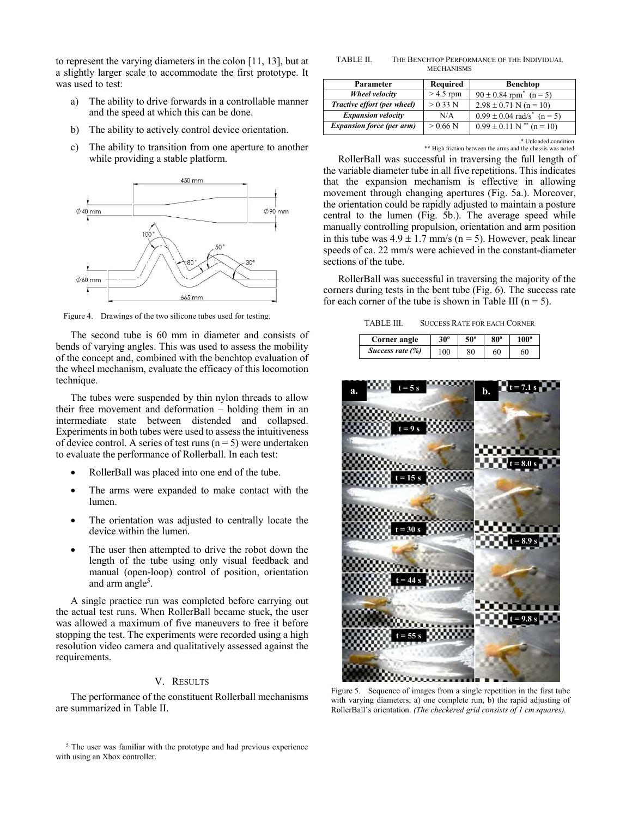to represent the varying diameters in the colon [11, 13], but at a slightly larger scale to accommodate the first prototype. It was used to test:

- a) The ability to drive forwards in a controllable manner and the speed at which this can be done.
- b) The ability to actively control device orientation.
- c) The ability to transition from one aperture to another while providing a stable platform.



Figure 4. Drawings of the two silicone tubes used for testing.

The second tube is 60 mm in diameter and consists of bends of varying angles. This was used to assess the mobility of the concept and, combined with the benchtop evaluation of the wheel mechanism, evaluate the efficacy of this locomotion technique.

The tubes were suspended by thin nylon threads to allow their free movement and deformation – holding them in an intermediate state between distended and collapsed. Experiments in both tubes were used to assess the intuitiveness of device control. A series of test runs ( $n = 5$ ) were undertaken to evaluate the performance of Rollerball. In each test:

- RollerBall was placed into one end of the tube.
- The arms were expanded to make contact with the lumen.
- The orientation was adjusted to centrally locate the device within the lumen.
- The user then attempted to drive the robot down the length of the tube using only visual feedback and manual (open-loop) control of position, orientation and arm angle<sup>5</sup>.

A single practice run was completed before carrying out the actual test runs. When RollerBall became stuck, the user was allowed a maximum of five maneuvers to free it before stopping the test. The experiments were recorded using a high resolution video camera and qualitatively assessed against the requirements.

# V. RESULTS

The performance of the constituent Rollerball mechanisms are summarized in Table II.

<sup>5</sup> The user was familiar with the prototype and had previous experience with using an Xbox controller.

TABLE II. THE BENCHTOP PERFORMANCE OF THE INDIVIDUAL MECHANISMS

| Parameter                        | <b>Required</b> | <b>Benchtop</b>                            |  |  |
|----------------------------------|-----------------|--------------------------------------------|--|--|
| Wheel velocity                   | $>$ 4.5 rpm     | $90 \pm 0.84$ rpm <sup>*</sup> (n = 5)     |  |  |
| Tractive effort (per wheel)      | $> 0.33$ N      | $2.98 \pm 0.71$ N (n = 10)                 |  |  |
| <b>Expansion velocity</b>        | N/A             | $0.99 \pm 0.04$ rad/s <sup>*</sup> (n = 5) |  |  |
| <b>Expansion force (per arm)</b> | $> 0.66$ N      | $0.99 \pm 0.11$ N <sup>**</sup> (n = 10)   |  |  |

\* Unloaded condition. \*\* High friction between the arms and the chassis was noted.

RollerBall was successful in traversing the full length of the variable diameter tube in all five repetitions. This indicates that the expansion mechanism is effective in allowing movement through changing apertures (Fig. 5a.). Moreover, the orientation could be rapidly adjusted to maintain a posture central to the lumen (Fig. 5b.). The average speed while manually controlling propulsion, orientation and arm position in this tube was  $4.9 \pm 1.7$  mm/s (n = 5). However, peak linear speeds of ca. 22 mm/s were achieved in the constant-diameter sections of the tube.

RollerBall was successful in traversing the majority of the corners during tests in the bent tube (Fig. 6). The success rate for each corner of the tube is shown in Table III ( $n = 5$ ).

TABLE III. SUCCESS RATE FOR EACH CORNER

| Corner angle        | $30^\circ$ | 50° | 80° | 100° |
|---------------------|------------|-----|-----|------|
| Success rate $(\%)$ | 100        | 80  |     | 60   |



Figure 5. Sequence of images from a single repetition in the first tube with varying diameters; a) one complete run, b) the rapid adjusting of RollerBall's orientation. *(The checkered grid consists of 1 cm squares).*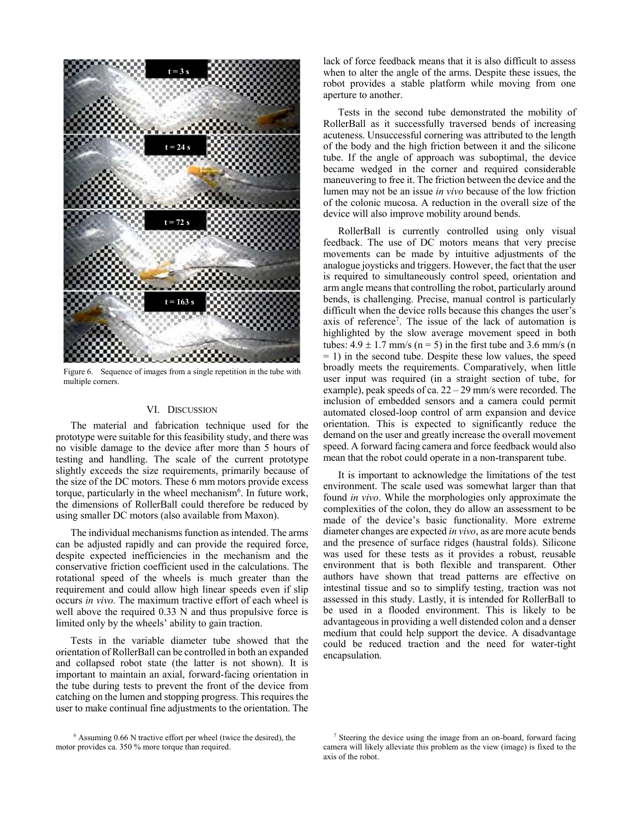

Figure 6. Sequence of images from a single repetition in the tube with multiple corners.

#### VI. DISCUSSION

The material and fabrication technique used for the prototype were suitable for this feasibility study, and there was no visible damage to the device after more than 5 hours of testing and handling. The scale of the current prototype slightly exceeds the size requirements, primarily because of the size of the DC motors. These 6 mm motors provide excess torque, particularly in the wheel mechanism<sup>6</sup>. In future work, the dimensions of RollerBall could therefore be reduced by using smaller DC motors (also available from Maxon).

The individual mechanisms function as intended. The arms can be adjusted rapidly and can provide the required force, despite expected inefficiencies in the mechanism and the conservative friction coefficient used in the calculations. The rotational speed of the wheels is much greater than the requirement and could allow high linear speeds even if slip occurs *in vivo.* The maximum tractive effort of each wheel is well above the required 0.33 N and thus propulsive force is limited only by the wheels' ability to gain traction.

Tests in the variable diameter tube showed that the orientation of RollerBall can be controlled in both an expanded and collapsed robot state (the latter is not shown). It is important to maintain an axial, forward-facing orientation in the tube during tests to prevent the front of the device from catching on the lumen and stopping progress. This requires the user to make continual fine adjustments to the orientation. The lack of force feedback means that it is also difficult to assess when to alter the angle of the arms. Despite these issues, the robot provides a stable platform while moving from one aperture to another.

Tests in the second tube demonstrated the mobility of RollerBall as it successfully traversed bends of increasing acuteness. Unsuccessful cornering was attributed to the length of the body and the high friction between it and the silicone tube. If the angle of approach was suboptimal, the device became wedged in the corner and required considerable maneuvering to free it. The friction between the device and the lumen may not be an issue *in vivo* because of the low friction of the colonic mucosa. A reduction in the overall size of the device will also improve mobility around bends.

RollerBall is currently controlled using only visual feedback. The use of DC motors means that very precise movements can be made by intuitive adjustments of the analogue joysticks and triggers. However, the fact that the user is required to simultaneously control speed, orientation and arm angle means that controlling the robot, particularly around bends, is challenging. Precise, manual control is particularly difficult when the device rolls because this changes the user's axis of reference<sup>7</sup>. The issue of the lack of automation is highlighted by the slow average movement speed in both tubes:  $4.9 \pm 1.7$  mm/s (n = 5) in the first tube and 3.6 mm/s (n  $= 1$ ) in the second tube. Despite these low values, the speed broadly meets the requirements. Comparatively, when little user input was required (in a straight section of tube, for example), peak speeds of ca. 22 – 29 mm/s were recorded. The inclusion of embedded sensors and a camera could permit automated closed-loop control of arm expansion and device orientation. This is expected to significantly reduce the demand on the user and greatly increase the overall movement speed. A forward facing camera and force feedback would also mean that the robot could operate in a non-transparent tube.

It is important to acknowledge the limitations of the test environment. The scale used was somewhat larger than that found *in vivo*. While the morphologies only approximate the complexities of the colon, they do allow an assessment to be made of the device's basic functionality. More extreme diameter changes are expected *in vivo*, as are more acute bends and the presence of surface ridges (haustral folds). Silicone was used for these tests as it provides a robust, reusable environment that is both flexible and transparent. Other authors have shown that tread patterns are effective on intestinal tissue and so to simplify testing, traction was not assessed in this study. Lastly, it is intended for RollerBall to be used in a flooded environment. This is likely to be advantageous in providing a well distended colon and a denser medium that could help support the device. A disadvantage could be reduced traction and the need for water-tight encapsulation.

<sup>6</sup> Assuming 0.66 N tractive effort per wheel (twice the desired), the motor provides ca. 350 % more torque than required.

<sup>&</sup>lt;sup>7</sup> Steering the device using the image from an on-board, forward facing camera will likely alleviate this problem as the view (image) is fixed to the axis of the robot.